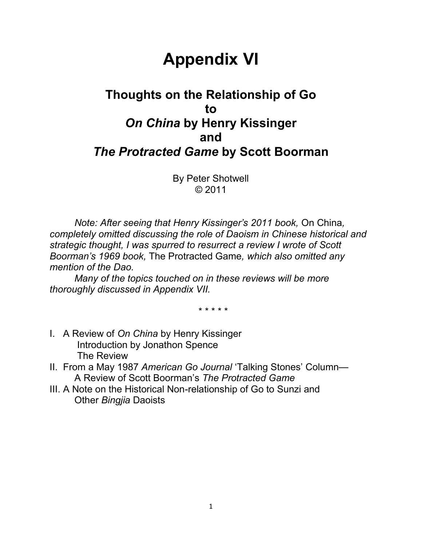# **Appendix VI**

# **Thoughts on the Relationship of Go to** *On China* **by Henry Kissinger and** *The Protracted Game* **by Scott Boorman**

By Peter Shotwell © 2011

*Note: After seeing that Henry Kissinger"s 2011 book,* On China*, completely omitted discussing the role of Daoism in Chinese historical and strategic thought, I was spurred to resurrect a review I wrote of Scott Boorman"s 1969 book,* The Protracted Game*, which also omitted any mention of the Dao.*

*Many of the topics touched on in these reviews will be more thoroughly discussed in Appendix VII.*

\* \* \* \* \*

- I. A Review of *On China* by Henry Kissinger Introduction by Jonathon Spence The Review
- II. From a May 1987 *American Go Journal* "Talking Stones" Column— A Review of Scott Boorman"s *The Protracted Game*
- III. A Note on the Historical Non-relationship of Go to Sunzi and Other *Bingjia* Daoists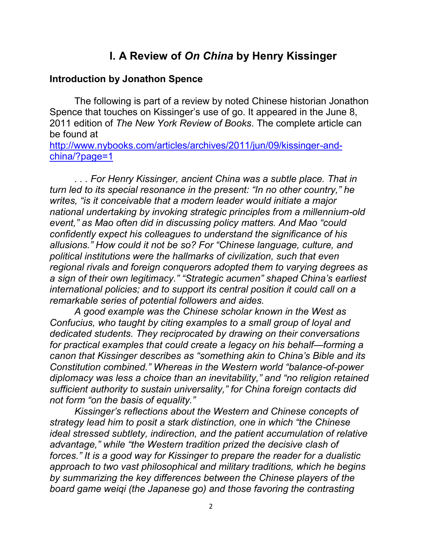## **I. A Review of** *On China* **by Henry Kissinger**

#### **Introduction by Jonathon Spence**

The following is part of a review by noted Chinese historian Jonathon Spence that touches on Kissinger's use of go. It appeared in the June 8, 2011 edition of *The New York Review of Books*. The complete article can be found at

[http://www.nybooks.com/articles/archives/2011/jun/09/kissinger-and](http://www.nybooks.com/articles/archives/2011/jun/09/kissinger-and-china/?page=1)[china/?page=1](http://www.nybooks.com/articles/archives/2011/jun/09/kissinger-and-china/?page=1)

*. . . For Henry Kissinger, ancient China was a subtle place. That in turn led to its special resonance in the present: "In no other country," he writes, "is it conceivable that a modern leader would initiate a major national undertaking by invoking strategic principles from a millennium-old event," as Mao often did in discussing policy matters. And Mao "could confidently expect his colleagues to understand the significance of his allusions." How could it not be so? For "Chinese language, culture, and political institutions were the hallmarks of civilization, such that even regional rivals and foreign conquerors adopted them to varying degrees as a sign of their own legitimacy." "Strategic acumen" shaped China"s earliest international policies; and to support its central position it could call on a remarkable series of potential followers and aides.*

*A good example was the Chinese scholar known in the West as Confucius, who taught by citing examples to a small group of loyal and dedicated students. They reciprocated by drawing on their conversations for practical examples that could create a legacy on his behalf—forming a canon that Kissinger describes as "something akin to China"s Bible and its Constitution combined." Whereas in the Western world "balance-of-power diplomacy was less a choice than an inevitability," and "no religion retained sufficient authority to sustain universality," for China foreign contacts did not form "on the basis of equality."*

*Kissinger"s reflections about the Western and Chinese concepts of strategy lead him to posit a stark distinction, one in which "the Chinese ideal stressed subtlety, indirection, and the patient accumulation of relative advantage," while "the Western tradition prized the decisive clash of forces." It is a good way for Kissinger to prepare the reader for a dualistic approach to two vast philosophical and military traditions, which he begins by summarizing the key differences between the Chinese players of the board game weiqi (the Japanese go) and those favoring the contrasting*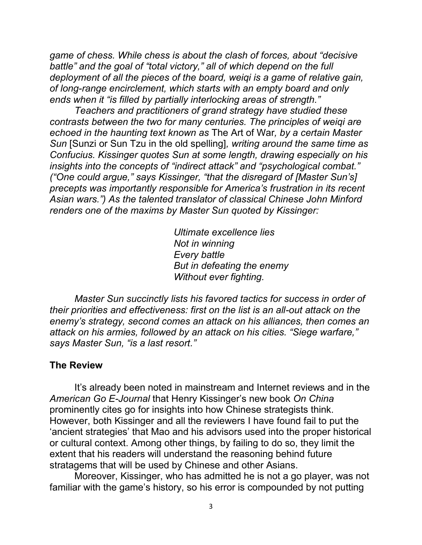*game of chess. While chess is about the clash of forces, about "decisive battle" and the goal of "total victory," all of which depend on the full deployment of all the pieces of the board, weiqi is a game of relative gain, of long-range encirclement, which starts with an empty board and only ends when it "is filled by partially interlocking areas of strength."*

*Teachers and practitioners of grand strategy have studied these contrasts between the two for many centuries. The principles of weiqi are echoed in the haunting text known as* The Art of War*, by a certain Master Sun* [Sunzi or Sun Tzu in the old spelling]*, writing around the same time as Confucius. Kissinger quotes Sun at some length, drawing especially on his insights into the concepts of "indirect attack" and "psychological combat." ("One could argue," says Kissinger, "that the disregard of [Master Sun"s] precepts was importantly responsible for America"s frustration in its recent Asian wars.") As the talented translator of classical Chinese John Minford renders one of the maxims by Master Sun quoted by Kissinger:*

> *Ultimate excellence lies Not in winning Every battle But in defeating the enemy Without ever fighting.*

*Master Sun succinctly lists his favored tactics for success in order of their priorities and effectiveness: first on the list is an all-out attack on the enemy"s strategy, second comes an attack on his alliances, then comes an attack on his armies, followed by an attack on his cities. "Siege warfare," says Master Sun, "is a last resort."*

#### **The Review**

It"s already been noted in mainstream and Internet reviews and in the *American Go E-Journal* that Henry Kissinger"s new book *On China* prominently cites go for insights into how Chinese strategists think. However, both Kissinger and all the reviewers I have found fail to put the "ancient strategies" that Mao and his advisors used into the proper historical or cultural context. Among other things, by failing to do so, they limit the extent that his readers will understand the reasoning behind future stratagems that will be used by Chinese and other Asians.

Moreover, Kissinger, who has admitted he is not a go player, was not familiar with the game's history, so his error is compounded by not putting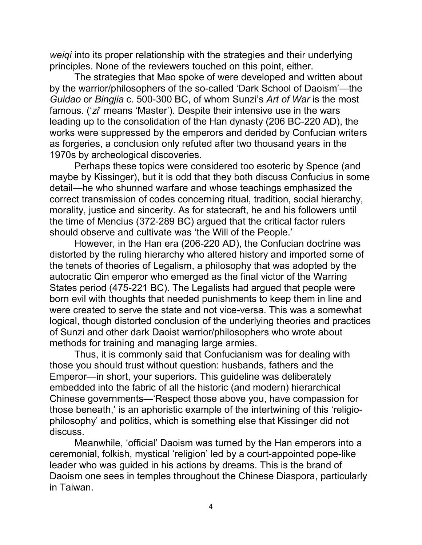*weiqi* into its proper relationship with the strategies and their underlying principles. None of the reviewers touched on this point, either.

The strategies that Mao spoke of were developed and written about by the warrior/philosophers of the so-called "Dark School of Daoism"—the *Guidao* or *Bingjia* c. 500-300 BC, of whom Sunzi"s *Art of War* is the most famous. ('zi' means 'Master'). Despite their intensive use in the wars leading up to the consolidation of the Han dynasty (206 BC-220 AD), the works were suppressed by the emperors and derided by Confucian writers as forgeries, a conclusion only refuted after two thousand years in the 1970s by archeological discoveries.

Perhaps these topics were considered too esoteric by Spence (and maybe by Kissinger), but it is odd that they both discuss Confucius in some detail—he who shunned warfare and whose teachings emphasized the correct transmission of codes concerning ritual, tradition, social hierarchy, morality, justice and sincerity. As for statecraft, he and his followers until the time of Mencius (372-289 BC) argued that the critical factor rulers should observe and cultivate was "the Will of the People."

However, in the Han era (206-220 AD), the Confucian doctrine was distorted by the ruling hierarchy who altered history and imported some of the tenets of theories of Legalism, a philosophy that was adopted by the autocratic Qin emperor who emerged as the final victor of the Warring States period (475-221 BC). The Legalists had argued that people were born evil with thoughts that needed punishments to keep them in line and were created to serve the state and not vice-versa. This was a somewhat logical, though distorted conclusion of the underlying theories and practices of Sunzi and other dark Daoist warrior/philosophers who wrote about methods for training and managing large armies.

Thus, it is commonly said that Confucianism was for dealing with those you should trust without question: husbands, fathers and the Emperor—in short, your superiors. This guideline was deliberately embedded into the fabric of all the historic (and modern) hierarchical Chinese governments—"Respect those above you, have compassion for those beneath,' is an aphoristic example of the intertwining of this 'religiophilosophy" and politics, which is something else that Kissinger did not discuss.

Meanwhile, "official" Daoism was turned by the Han emperors into a ceremonial, folkish, mystical "religion" led by a court-appointed pope-like leader who was guided in his actions by dreams. This is the brand of Daoism one sees in temples throughout the Chinese Diaspora, particularly in Taiwan.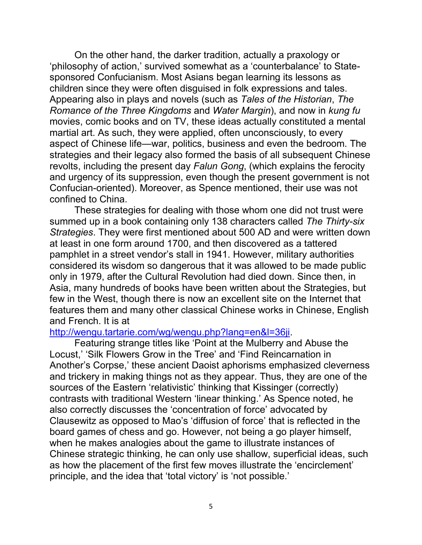On the other hand, the darker tradition, actually a praxology or "philosophy of action," survived somewhat as a "counterbalance" to Statesponsored Confucianism. Most Asians began learning its lessons as children since they were often disguised in folk expressions and tales. Appearing also in plays and novels (such as *Tales of the Historian*, *The Romance of the Three Kingdoms* and *Water Margin*), and now in *kung fu*  movies, comic books and on TV, these ideas actually constituted a mental martial art. As such, they were applied, often unconsciously, to every aspect of Chinese life—war, politics, business and even the bedroom. The strategies and their legacy also formed the basis of all subsequent Chinese revolts, including the present day *Falun Gong*, (which explains the ferocity and urgency of its suppression, even though the present government is not Confucian-oriented). Moreover, as Spence mentioned, their use was not confined to China.

These strategies for dealing with those whom one did not trust were summed up in a book containing only 138 characters called *The Thirty-six Strategies*. They were first mentioned about 500 AD and were written down at least in one form around 1700, and then discovered as a tattered pamphlet in a street vendor"s stall in 1941. However, military authorities considered its wisdom so dangerous that it was allowed to be made public only in 1979, after the Cultural Revolution had died down. Since then, in Asia, many hundreds of books have been written about the Strategies, but few in the West, though there is now an excellent site on the Internet that features them and many other classical Chinese works in Chinese, English and French. It is at

#### [http://wengu.tartarie.com/wg/wengu.php?lang=en&l=36ji.](http://wengu.tartarie.com/wg/wengu.php?lang=en&l=36ji)

Featuring strange titles like "Point at the Mulberry and Abuse the Locust,' 'Silk Flowers Grow in the Tree' and 'Find Reincarnation in Another's Corpse,' these ancient Daoist aphorisms emphasized cleverness and trickery in making things not as they appear. Thus, they are one of the sources of the Eastern 'relativistic' thinking that Kissinger (correctly) contrasts with traditional Western "linear thinking." As Spence noted, he also correctly discusses the 'concentration of force' advocated by Clausewitz as opposed to Mao"s "diffusion of force" that is reflected in the board games of chess and go. However, not being a go player himself, when he makes analogies about the game to illustrate instances of Chinese strategic thinking, he can only use shallow, superficial ideas, such as how the placement of the first few moves illustrate the "encirclement" principle, and the idea that 'total victory' is 'not possible.'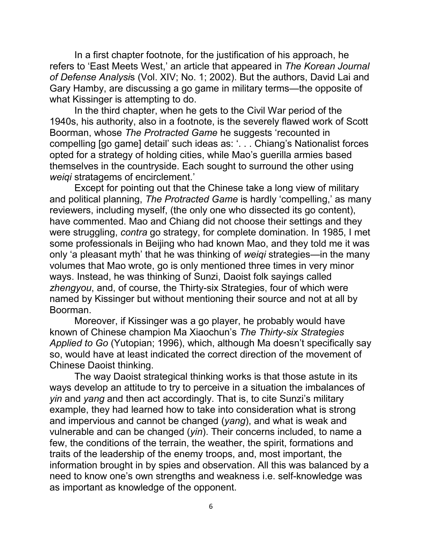In a first chapter footnote, for the justification of his approach, he refers to "East Meets West," an article that appeared in *The Korean Journal of Defense Analysi*s (Vol. XIV; No. 1; 2002). But the authors, David Lai and Gary Hamby, are discussing a go game in military terms—the opposite of what Kissinger is attempting to do.

In the third chapter, when he gets to the Civil War period of the 1940s, his authority, also in a footnote, is the severely flawed work of Scott Boorman, whose *The Protracted Game* he suggests "recounted in compelling [go game] detail" such ideas as: ". . . Chiang"s Nationalist forces opted for a strategy of holding cities, while Mao"s guerilla armies based themselves in the countryside. Each sought to surround the other using *weiqi* stratagems of encirclement."

Except for pointing out that the Chinese take a long view of military and political planning, *The Protracted Game* is hardly "compelling," as many reviewers, including myself, (the only one who dissected its go content), have commented. Mao and Chiang did not choose their settings and they were struggling, *contra* go strategy, for complete domination. In 1985, I met some professionals in Beijing who had known Mao, and they told me it was only "a pleasant myth" that he was thinking of *weiqi* strategies—in the many volumes that Mao wrote, go is only mentioned three times in very minor ways. Instead, he was thinking of Sunzi, Daoist folk sayings called *zhengyou*, and, of course, the Thirty-six Strategies, four of which were named by Kissinger but without mentioning their source and not at all by Boorman.

Moreover, if Kissinger was a go player, he probably would have known of Chinese champion Ma Xiaochun"s *The Thirty-six Strategies Applied to Go* (Yutopian; 1996), which, although Ma doesn"t specifically say so, would have at least indicated the correct direction of the movement of Chinese Daoist thinking.

The way Daoist strategical thinking works is that those astute in its ways develop an attitude to try to perceive in a situation the imbalances of *yin* and *yang* and then act accordingly. That is, to cite Sunzi"s military example, they had learned how to take into consideration what is strong and impervious and cannot be changed (*yang*), and what is weak and vulnerable and can be changed (*yin*). Their concerns included, to name a few, the conditions of the terrain, the weather, the spirit, formations and traits of the leadership of the enemy troops, and, most important, the information brought in by spies and observation. All this was balanced by a need to know one"s own strengths and weakness i.e. self-knowledge was as important as knowledge of the opponent.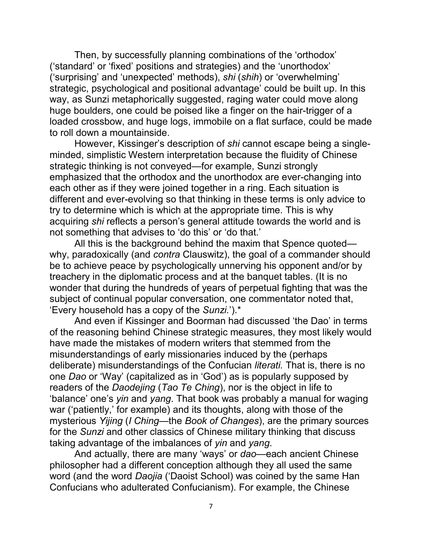Then, by successfully planning combinations of the "orthodox" ("standard" or "fixed" positions and strategies) and the "unorthodox" ("surprising" and "unexpected" methods), *shi* (*shih*) or "overwhelming" strategic, psychological and positional advantage' could be built up. In this way, as Sunzi metaphorically suggested, raging water could move along huge boulders, one could be poised like a finger on the hair-trigger of a loaded crossbow, and huge logs, immobile on a flat surface, could be made to roll down a mountainside.

However, Kissinger"s description of *shi* cannot escape being a singleminded, simplistic Western interpretation because the fluidity of Chinese strategic thinking is not conveyed—for example, Sunzi strongly emphasized that the orthodox and the unorthodox are ever-changing into each other as if they were joined together in a ring. Each situation is different and ever-evolving so that thinking in these terms is only advice to try to determine which is which at the appropriate time. This is why acquiring *shi* reflects a person"s general attitude towards the world and is not something that advises to 'do this' or 'do that.'

All this is the background behind the maxim that Spence quoted why, paradoxically (and *contra* Clauswitz), the goal of a commander should be to achieve peace by psychologically unnerving his opponent and/or by treachery in the diplomatic process and at the banquet tables. (It is no wonder that during the hundreds of years of perpetual fighting that was the subject of continual popular conversation, one commentator noted that, "Every household has a copy of the *Sunzi.*").\*

And even if Kissinger and Boorman had discussed "the Dao" in terms of the reasoning behind Chinese strategic measures, they most likely would have made the mistakes of modern writers that stemmed from the misunderstandings of early missionaries induced by the (perhaps deliberate) misunderstandings of the Confucian *literati.* That is, there is no one *Dao* or "Way" (capitalized as in "God") as is popularly supposed by readers of the *Daodejing* (*Tao Te Ching*), nor is the object in life to "balance" one"s *yin* and *yang*. That book was probably a manual for waging war ('patiently,' for example) and its thoughts, along with those of the mysterious *Yijing* (*I Ching—*the *Book of Changes*), are the primary sources for the *Sunzi* and other classics of Chinese military thinking that discuss taking advantage of the imbalances of *yin* and *yang*.

And actually, there are many "ways" or *dao*—each ancient Chinese philosopher had a different conception although they all used the same word (and the word *Daojia* ("Daoist School) was coined by the same Han Confucians who adulterated Confucianism). For example, the Chinese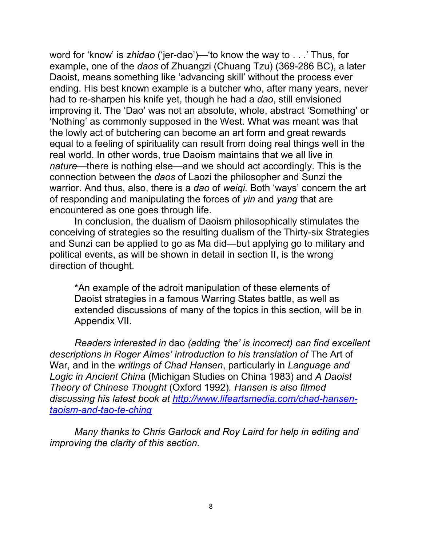word for "know" is *zhidao* ("jer-dao")—"to know the way to . . ." Thus, for example, one of the *daos* of Zhuangzi (Chuang Tzu) (369-286 BC), a later Daoist, means something like "advancing skill" without the process ever ending. His best known example is a butcher who, after many years, never had to re-sharpen his knife yet, though he had a *dao*, still envisioned improving it. The "Dao" was not an absolute, whole, abstract "Something" or "Nothing" as commonly supposed in the West. What was meant was that the lowly act of butchering can become an art form and great rewards equal to a feeling of spirituality can result from doing real things well in the real world. In other words, true Daoism maintains that we all live in *nature*—there is nothing else—and we should act accordingly. This is the connection between the *daos* of Laozi the philosopher and Sunzi the warrior. And thus, also, there is a *dao* of *weiqi.* Both "ways" concern the art of responding and manipulating the forces of *yin* and *yang* that are encountered as one goes through life.

In conclusion, the dualism of Daoism philosophically stimulates the conceiving of strategies so the resulting dualism of the Thirty-six Strategies and Sunzi can be applied to go as Ma did—but applying go to military and political events, as will be shown in detail in section II, is the wrong direction of thought.

\*An example of the adroit manipulation of these elements of Daoist strategies in a famous Warring States battle, as well as extended discussions of many of the topics in this section, will be in Appendix VII.

*Readers interested in* dao *(adding "the" is incorrect) can find excellent descriptions in Roger Aimes" introduction to his translation of* The Art of War, and in the *writings of Chad Hansen*, particularly in *Language and Logic in Ancient China* (Michigan Studies on China 1983) and *A Daoist Theory of Chinese Thought* (Oxford 1992)*. Hansen is also filmed discussing his latest book at [http://www.lifeartsmedia.com/chad-hansen](http://www.lifeartsmedia.com/chad-hansen-taoism-and-tao-te-ching)[taoism-and-tao-te-ching](http://www.lifeartsmedia.com/chad-hansen-taoism-and-tao-te-ching)*

*Many thanks to Chris Garlock and Roy Laird for help in editing and improving the clarity of this section.*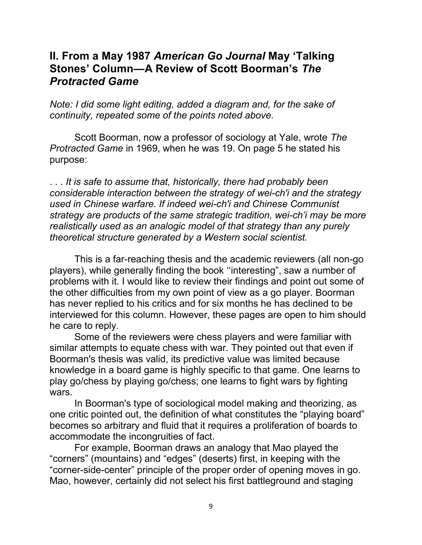### **II. From a May 1987** *American Go Journal* **May 'Talking Stones' Column—A Review of Scott Boorman's** *The Protracted Game*

*Note: I did some light editing, added a diagram and, for the sake of continuity, repeated some of the points noted above.* 

Scott Boorman, now a professor of sociology at Yale, wrote *The Protracted Game* in 1969, when he was 19. On page 5 he stated his purpose:

. . . *It is safe to assume that, historically, there had probably been considerable interaction between the strategy of wei-ch'i and the strategy used in Chinese warfare. If indeed wei-ch'i and Chinese Communist strategy are products of the same strategic tradition, wei-ch"i may be more realistically used as an analogic model of that strategy than any purely theoretical structure generated by a Western social scientist.*

This is a far-reaching thesis and the academic reviewers (all non-go players), while generally finding the book "interesting", saw a number of problems with it. I would like to review their findings and point out some of the other difficulties from my own point of view as a go player. Boorman has never replied to his critics and for six months he has declined to be interviewed for this column. However, these pages are open to him should he care to reply.

Some of the reviewers were chess players and were familiar with similar attempts to equate chess with war. They pointed out that even if Boorman's thesis was valid, its predictive value was limited because knowledge in a board game is highly specific to that game. One learns to play go/chess by playing go/chess; one learns to fight wars by fighting wars.

In Boorman's type of sociological model making and theorizing, as one critic pointed out, the definition of what constitutes the "playing board" becomes so arbitrary and fluid that it requires a proliferation of boards to accommodate the incongruities of fact.

For example, Boorman draws an analogy that Mao played the "corners" (mountains) and "edges" (deserts) first, in keeping with the "corner-side-center" principle of the proper order of opening moves in go. Mao, however, certainly did not select his first battleground and staging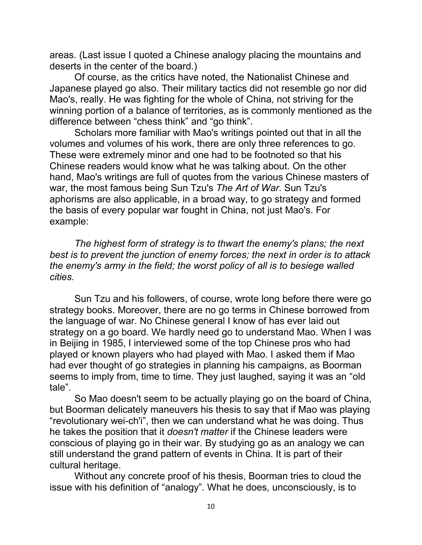areas. (Last issue I quoted a Chinese analogy placing the mountains and deserts in the center of the board.)

Of course, as the critics have noted, the Nationalist Chinese and Japanese played go also. Their military tactics did not resemble go nor did Mao's, really. He was fighting for the whole of China, not striving for the winning portion of a balance of territories, as is commonly mentioned as the difference between "chess think" and "go think".

Scholars more familiar with Mao's writings pointed out that in all the volumes and volumes of his work, there are only three references to go. These were extremely minor and one had to be footnoted so that his Chinese readers would know what he was talking about. On the other hand, Mao's writings are full of quotes from the various Chinese masters of war, the most famous being Sun Tzu's *The Art of War*. Sun Tzu's aphorisms are also applicable, in a broad way, to go strategy and formed the basis of every popular war fought in China, not just Mao's. For example:

*The highest form of strategy is to thwart the enemy's plans; the next best is to prevent the junction of enemy forces; the next in order is to attack the enemy's army in the field; the worst policy of all is to besiege walled cities.*

Sun Tzu and his followers, of course, wrote long before there were go strategy books. Moreover, there are no go terms in Chinese borrowed from the language of war. No Chinese general I know of has ever laid out strategy on a go board. We hardly need go to understand Mao. When I was in Beijing in 1985, I interviewed some of the top Chinese pros who had played or known players who had played with Mao. I asked them if Mao had ever thought of go strategies in planning his campaigns, as Boorman seems to imply from, time to time. They just laughed, saying it was an "old tale".

So Mao doesn't seem to be actually playing go on the board of China, but Boorman delicately maneuvers his thesis to say that if Mao was playing "revolutionary wei-ch'i", then we can understand what he was doing. Thus he takes the position that it *doesn't matter* if the Chinese leaders were conscious of playing go in their war. By studying go as an analogy we can still understand the grand pattern of events in China. It is part of their cultural heritage.

Without any concrete proof of his thesis, Boorman tries to cloud the issue with his definition of "analogy". What he does, unconsciously, is to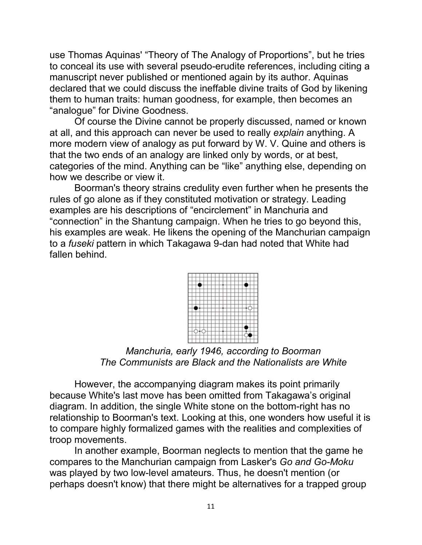use Thomas Aquinas' "Theory of The Analogy of Proportions", but he tries to conceal its use with several pseudo-erudite references, including citing a manuscript never published or mentioned again by its author. Aquinas declared that we could discuss the ineffable divine traits of God by likening them to human traits: human goodness, for example, then becomes an "analogue" for Divine Goodness.

Of course the Divine cannot be properly discussed, named or known at all, and this approach can never be used to really *explain* anything. A more modern view of analogy as put forward by W. V. Quine and others is that the two ends of an analogy are linked only by words, or at best, categories of the mind. Anything can be "like" anything else, depending on how we describe or view it.

Boorman's theory strains credulity even further when he presents the rules of go alone as if they constituted motivation or strategy. Leading examples are his descriptions of "encirclement" in Manchuria and "connection" in the Shantung campaign. When he tries to go beyond this, his examples are weak. He likens the opening of the Manchurian campaign to a *fuseki* pattern in which Takagawa 9-dan had noted that White had fallen behind.



*Manchuria, early 1946, according to Boorman The Communists are Black and the Nationalists are White* 

However, the accompanying diagram makes its point primarily because White's last move has been omitted from Takagawa"s original diagram. In addition, the single White stone on the bottom-right has no relationship to Boorman's text. Looking at this, one wonders how useful it is to compare highly formalized games with the realities and complexities of troop movements.

In another example, Boorman neglects to mention that the game he compares to the Manchurian campaign from Lasker's *Go and Go-Moku* was played by two low-level amateurs. Thus, he doesn't mention (or perhaps doesn't know) that there might be alternatives for a trapped group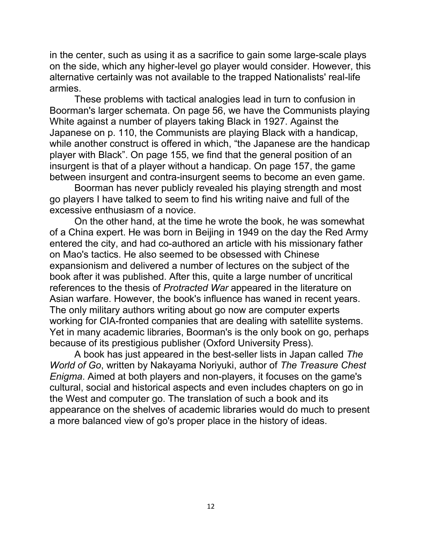in the center, such as using it as a sacrifice to gain some large-scale plays on the side, which any higher-level go player would consider. However, this alternative certainly was not available to the trapped Nationalists' real-life armies.

These problems with tactical analogies lead in turn to confusion in Boorman's larger schemata. On page 56, we have the Communists playing White against a number of players taking Black in 1927. Against the Japanese on p. 110, the Communists are playing Black with a handicap, while another construct is offered in which, "the Japanese are the handicap player with Black". On page 155, we find that the general position of an insurgent is that of a player without a handicap. On page 157, the game between insurgent and contra-insurgent seems to become an even game.

Boorman has never publicly revealed his playing strength and most go players I have talked to seem to find his writing naive and full of the excessive enthusiasm of a novice.

On the other hand, at the time he wrote the book, he was somewhat of a China expert. He was born in Beijing in 1949 on the day the Red Army entered the city, and had co-authored an article with his missionary father on Mao's tactics. He also seemed to be obsessed with Chinese expansionism and delivered a number of lectures on the subject of the book after it was published. After this, quite a large number of uncritical references to the thesis of *Protracted War* appeared in the literature on Asian warfare. However, the book's influence has waned in recent years. The only military authors writing about go now are computer experts working for CIA-fronted companies that are dealing with satellite systems. Yet in many academic libraries, Boorman's is the only book on go, perhaps because of its prestigious publisher (Oxford University Press).

A book has just appeared in the best-seller lists in Japan called *The World of Go*, written by Nakayama Noriyuki, author of *The Treasure Chest Enigma*. Aimed at both players and non-players, it focuses on the game's cultural, social and historical aspects and even includes chapters on go in the West and computer go. The translation of such a book and its appearance on the shelves of academic libraries would do much to present a more balanced view of go's proper place in the history of ideas.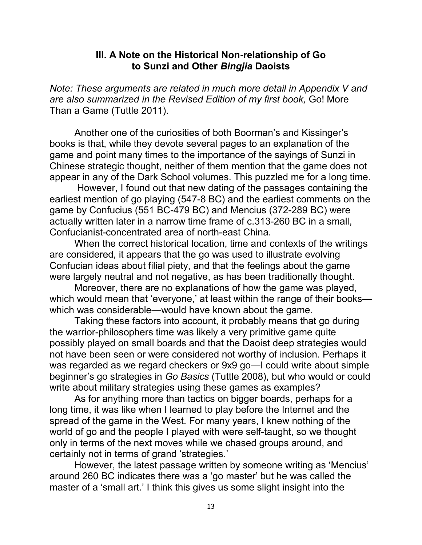#### **III. A Note on the Historical Non-relationship of Go to Sunzi and Other** *Bingjia* **Daoists**

*Note: These arguments are related in much more detail in Appendix V and are also summarized in the Revised Edition of my first book,* Go! More Than a Game (Tuttle 2011).

Another one of the curiosities of both Boorman's and Kissinger's books is that, while they devote several pages to an explanation of the game and point many times to the importance of the sayings of Sunzi in Chinese strategic thought, neither of them mention that the game does not appear in any of the Dark School volumes. This puzzled me for a long time.

However, I found out that new dating of the passages containing the earliest mention of go playing (547-8 BC) and the earliest comments on the game by Confucius (551 BC-479 BC) and Mencius (372-289 BC) were actually written later in a narrow time frame of c.313-260 BC in a small, Confucianist-concentrated area of north-east China.

When the correct historical location, time and contexts of the writings are considered, it appears that the go was used to illustrate evolving Confucian ideas about filial piety, and that the feelings about the game were largely neutral and not negative, as has been traditionally thought.

Moreover, there are no explanations of how the game was played, which would mean that 'everyone,' at least within the range of their bookswhich was considerable—would have known about the game.

Taking these factors into account, it probably means that go during the warrior-philosophers time was likely a very primitive game quite possibly played on small boards and that the Daoist deep strategies would not have been seen or were considered not worthy of inclusion. Perhaps it was regarded as we regard checkers or 9x9 go—I could write about simple beginner"s go strategies in *Go Basics* (Tuttle 2008), but who would or could write about military strategies using these games as examples?

As for anything more than tactics on bigger boards, perhaps for a long time, it was like when I learned to play before the Internet and the spread of the game in the West. For many years, I knew nothing of the world of go and the people I played with were self-taught, so we thought only in terms of the next moves while we chased groups around, and certainly not in terms of grand "strategies."

However, the latest passage written by someone writing as "Mencius" around 260 BC indicates there was a "go master" but he was called the master of a 'small art.' I think this gives us some slight insight into the